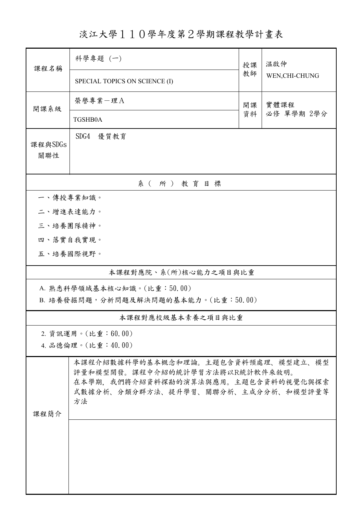## 淡江大學110學年度第2學期課程教學計畫表

| 課程名稱                                | 科學專題 (一)                                                                                                                                                   |          | 温啟仲                |  |  |  |  |  |
|-------------------------------------|------------------------------------------------------------------------------------------------------------------------------------------------------------|----------|--------------------|--|--|--|--|--|
|                                     | SPECIAL TOPICS ON SCIENCE (I)                                                                                                                              | 教師       | WEN, CHI-CHUNG     |  |  |  |  |  |
| 開課系級                                | 榮譽專業一理A                                                                                                                                                    | 開課<br>資料 | 實體課程<br>必修 單學期 2學分 |  |  |  |  |  |
|                                     | <b>TGSHB0A</b>                                                                                                                                             |          |                    |  |  |  |  |  |
| 課程與SDGs                             | SDG4<br>優質教育                                                                                                                                               |          |                    |  |  |  |  |  |
| 關聯性                                 |                                                                                                                                                            |          |                    |  |  |  |  |  |
| 系(所)教育目標                            |                                                                                                                                                            |          |                    |  |  |  |  |  |
| 一、傳授專業知識。                           |                                                                                                                                                            |          |                    |  |  |  |  |  |
|                                     | 二、增進表達能力。                                                                                                                                                  |          |                    |  |  |  |  |  |
| 三、培養團隊精神。                           |                                                                                                                                                            |          |                    |  |  |  |  |  |
| 四、落實自我實現。                           |                                                                                                                                                            |          |                    |  |  |  |  |  |
|                                     | 五、培養國際視野。                                                                                                                                                  |          |                    |  |  |  |  |  |
| 本課程對應院、系(所)核心能力之項目與比重               |                                                                                                                                                            |          |                    |  |  |  |  |  |
| A. 熟悉科學領域基本核心知識。(比重:50.00)          |                                                                                                                                                            |          |                    |  |  |  |  |  |
| B. 培養發掘問題,分析問題及解決問題的基本能力。(比重:50.00) |                                                                                                                                                            |          |                    |  |  |  |  |  |
|                                     | 本課程對應校級基本素養之項目與比重                                                                                                                                          |          |                    |  |  |  |  |  |
| 2. 資訊運用。(比重:60.00)                  |                                                                                                                                                            |          |                    |  |  |  |  |  |
|                                     | 4. 品德倫理。(比重:40.00)                                                                                                                                         |          |                    |  |  |  |  |  |
|                                     | 本課程介紹數據科學的基本概念和理論。主題包含資料預處理、模型建立、模型<br>評量和模型開發。課程中介紹的統計學習方法將以R統計軟件來敘明。<br>在本學期,我們將介紹資料探勘的演算法與應用。主題包含資料的視覺化與探索<br>式數據分析、分類分群方法、提升學習、關聯分析、主成分分析、和模型評量等<br>方法 |          |                    |  |  |  |  |  |
| 課程簡介                                |                                                                                                                                                            |          |                    |  |  |  |  |  |
|                                     |                                                                                                                                                            |          |                    |  |  |  |  |  |
|                                     |                                                                                                                                                            |          |                    |  |  |  |  |  |
|                                     |                                                                                                                                                            |          |                    |  |  |  |  |  |
|                                     |                                                                                                                                                            |          |                    |  |  |  |  |  |
|                                     |                                                                                                                                                            |          |                    |  |  |  |  |  |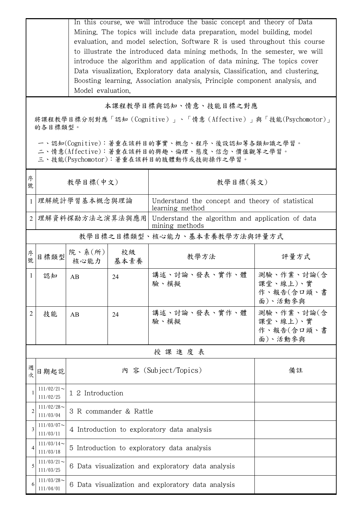In this course, we will introduce the basic concept and theory of Data Mining. The topics will include data preparation, model building, model evaluation, and model selection. Software R is used throughout this course to illustrate the introduced data mining methods. In the semester, we will introduce the algorithm and application of data mining. The topics cover Data visualization, Exploratory data analysis, Classification, and clustering, Boosting learning, Association analysis, Principle component analysis, and Model evaluation.

## 本課程教學目標與認知、情意、技能目標之對應

將課程教學目標分別對應「認知(Cognitive)」、「情意(Affective)」與「技能(Psychomotor)」 的各目標類型。

一、認知(Cognitive):著重在該科目的事實、概念、程序、後設認知等各類知識之學習。

二、情意(Affective):著重在該科目的興趣、倫理、態度、信念、價值觀等之學習。

三、技能(Psychomotor):著重在該科目的肢體動作或技術操作之學習。

| 序<br>號         | 教學目標(中文)                     |                                                    |    | 教學目標(英文)                                                            |                                                 |  |  |  |  |
|----------------|------------------------------|----------------------------------------------------|----|---------------------------------------------------------------------|-------------------------------------------------|--|--|--|--|
| $\mathbf{1}$   | 理解統計學習基本概念與理論                |                                                    |    | Understand the concept and theory of statistical<br>learning method |                                                 |  |  |  |  |
| $\overline{2}$ | 理解資料探勘方法之演算法與應用              |                                                    |    | Understand the algorithm and application of data<br>mining methods  |                                                 |  |  |  |  |
|                | 教學目標之目標類型、核心能力、基本素養教學方法與評量方式 |                                                    |    |                                                                     |                                                 |  |  |  |  |
| 序號             | 目標類型                         | 院、系 $(\kappa)$  <br>核心能力   基本素養                    | 校級 | 教學方法                                                                | 評量方式                                            |  |  |  |  |
| 1              | 認知                           | AB                                                 | 24 | 講述、討論、發表、實作、體<br>驗、模擬                                               | 測驗、作業、討論(含<br>課堂、線上)、實<br>作、報告(含口頭、書<br>面)、活動參與 |  |  |  |  |
| 2              | 技能                           | AB                                                 | 24 | 講述、討論、發表、實作、體<br>驗、模擬                                               | 測驗、作業、討論(含<br>課堂、線上)、實<br>作、報告(含口頭、書<br>面)、活動參與 |  |  |  |  |
|                | 授課進度表                        |                                                    |    |                                                                     |                                                 |  |  |  |  |
| 週次             | 日期起訖                         | 內 容 (Subject/Topics)<br>備註                         |    |                                                                     |                                                 |  |  |  |  |
|                | $111/02/21$ ~<br>111/02/25   | 1 2 Introduction                                   |    |                                                                     |                                                 |  |  |  |  |
| $\overline{c}$ | $111/02/28$ ~<br>111/03/04   | 3 R commander & Rattle                             |    |                                                                     |                                                 |  |  |  |  |
| 3              | $111/03/07$ ~<br>111/03/11   | 4 Introduction to exploratory data analysis        |    |                                                                     |                                                 |  |  |  |  |
| 4              | $111/03/14$ ~<br>111/03/18   | 5 Introduction to exploratory data analysis        |    |                                                                     |                                                 |  |  |  |  |
| 5              | $111/03/21$ ~<br>111/03/25   | 6 Data visualization and exploratory data analysis |    |                                                                     |                                                 |  |  |  |  |
| 6              | $111/03/28$ ~<br>111/04/01   | 6 Data visualization and exploratory data analysis |    |                                                                     |                                                 |  |  |  |  |